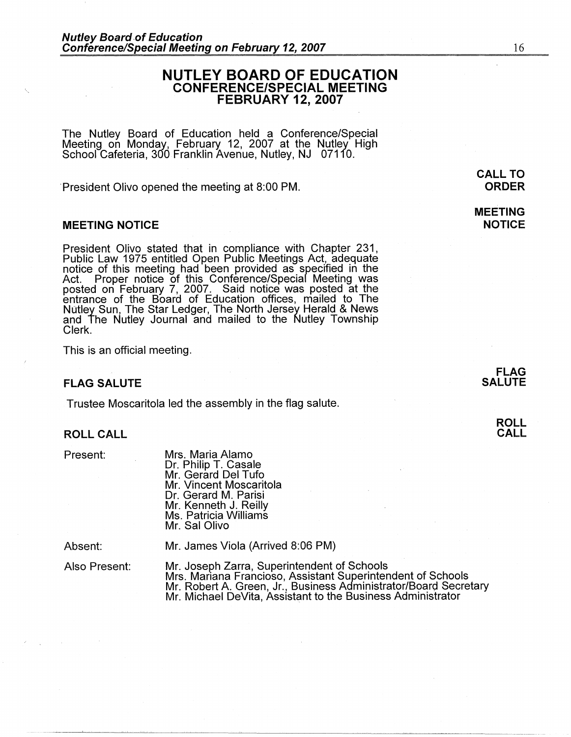# **NUTLEY BOARD OF EDUCATION CONFERENCE/SPECIAL MEETING FEBRUARY 12, 2007**

The Nutley Board of Education held a Conference/Special Meeting on Monday, February 12, 2007 at the Nutley High School Cafeteria, 300 Franklin Avenue, Nutley, NJ 07110.

President Olivo opened the meeting at 8:00 PM.

### **MEETING NOTICE**

President Olivo stated that in compliance with Chapter 231, Public Law 1975 entitled Open Public Meetings Act, adequate notice of this meeting had been provided as specified in the Act. Proper notice of this Conference/Special Meeting was posted on February 7, 2007. Said notice was posted at the entrance of the Board of Education offices, mailed to The Nutley Sun, The Star Ledger, The North Jersey Herald & News and The Nutley Journal and mailed to the Nutley Township Clerk.

This is an official meeting.

### **FLAG SALUTE**

Trustee Moscaritola led the assembly in the flag salute.

#### **ROLL CALL**

Present:

Mrs. Maria Alamo Dr. Philip T. Casale Mr. Gerard Del Tufo Mr. Vincent Moscaritola Dr. Gerard M. Parisi Mr. Kenneth J. Reilly Ms. Patricia Williams Mr. Sal Olivo

Absent:

Mr. James Viola (Arrived 8:06 PM)

~-~~-~~~-~~--~--------~~-~-~~~~-- - ------

Also Present:

Mr. Joseph Zarra, Superintendent of Schools Mrs. Mariana Franciosa, Assistant Superintendent of Schools Mr. Robert A. Green, Jr., Business Administrator/Board Secretary Mr. Michael DeVita, Assistant to the Business Administrator

**MEETING NOTICE** 

> **FLAG SALUTE**

16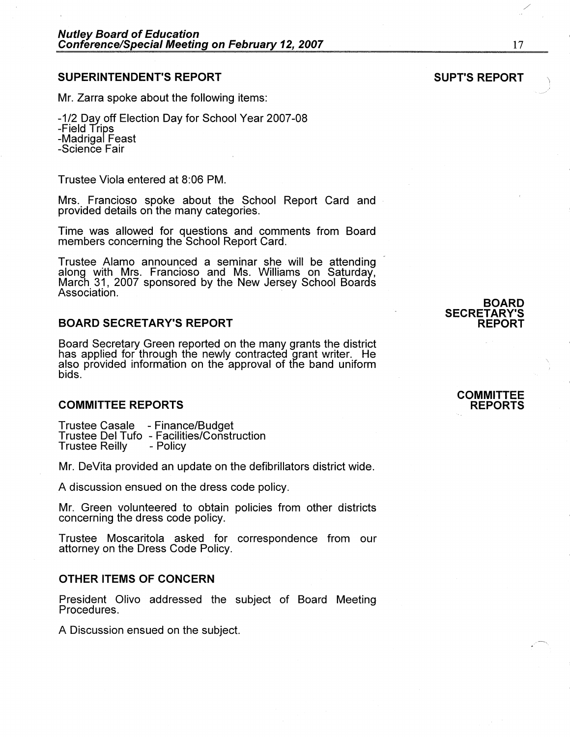# **SUPERINTENDENT'S REPORT**

Mr. Zarra spoke about the following items:

-1/2 Day off Election Day for School Year 2007-08 -Field Trips -Madrigal Feast -Science Fair

Trustee Viola entered at 8:06 PM.

Mrs. Francioso spoke about the School Report Card and provided details on the many categories.

Time was allowed for questions and comments from Board members concerning the School Report Card.

Trustee Alamo announced a seminar she will be attending along with Mrs. Francioso and Ms. Williams on Saturday, March 31, 2007 sponsored by the New Jersey School Boards<br>Association.

# **BOARD SECRETARY'S REPORT**

Board Secretary Green reported on the many grants the district has applied for through the newly contracted grant writer. He also provided information on the approval of the band uniform bids.

### **COMMITTEE REPORTS**

Trustee Casale - Finance/Budget<br>Trustee Del Tufo - Facilities/Construction<br>Trustee Reilly - Policy Trustee Reilly

Mr. DeVita provided an update on the defibrillators district wide.

A discussion ensued on the dress code policy.

Mr. Green volunteered to obtain policies from other districts concerning the dress code policy.

Trustee Moscaritola asked for correspondence from our attorney on the Dress Code Policy.

#### **OTHER ITEMS OF CONCERN**

President Olivo addressed the subject of Board Meeting Procedures.

A Discussion ensued on the subject.

**COMMITTEE REPORTS** 

**BOARD** 

**REPORT** 

**SECRETARY'S** 

/

17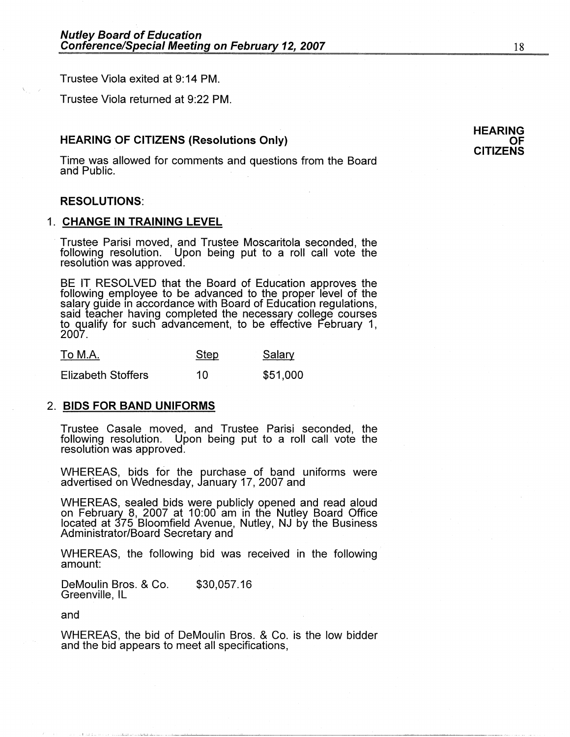Trustee Viola exited at 9: 14 PM.

Trustee Viola returned at 9:22 PM.

### **HEARING OF CITIZENS (Resolutions Only)**

Time was allowed for comments and questions from the Board and Public. .

### **RESOLUTIONS:**

#### 1. **CHANGE IN TRAINING LEVEL**

· Trustee Parisi moved, and Trustee Moscaritola seconded, the following resolution. Upon being put to a roll call vote the resolution was approved.

BE IT RESOLVED that the Board of Education approves the following employee to be advanced to the proper level of the salary guide in accordance with Board of Education regulations, said teacher having completed the necessary college courses to qualify for such advancement, to be effective February 1, 2007.

| To M.A.                   | <b>Step</b> | Salary   |
|---------------------------|-------------|----------|
| <b>Elizabeth Stoffers</b> | 10          | \$51,000 |

#### 2. **BIDS FOR BAND UNIFORMS**

Trustee Casale moved, and Trustee Parisi seconded, the following resolution. Upon being put to a roll call vote the resolution was approved.

WHEREAS, bids for the purchase of band uniforms were advertised on Wednesday, January 17, 2007 and

WHEREAS, sealed bids were publicly opened and read aloud on February 8, 2007 at 10:00 am in the Nutley Board Office located at 375 Bloomfield Avenue, Nutley, NJ by the Business Administrator/Board Secretary and ·

WHEREAS, the following bid was received in the following amount:

DeMoulin Bros. & Co. Greenville, IL \$30,057.16

and

WHEREAS, the bid of DeMoulin Bros. & Co. is the low bidder and the bid appears to meet all specifications,

#### **HEARING OF CITIZENS**